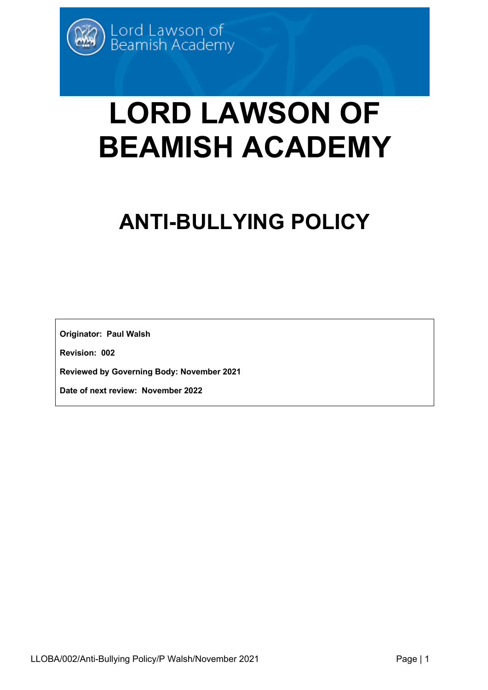# **LORD LAWSON OF BEAMISH ACADEMY**

## **ANTI-BULLYING POLICY**

**Originator: Paul Walsh**

**Revision: 002**

**Reviewed by Governing Body: November 2021**

**Date of next review: November 2022**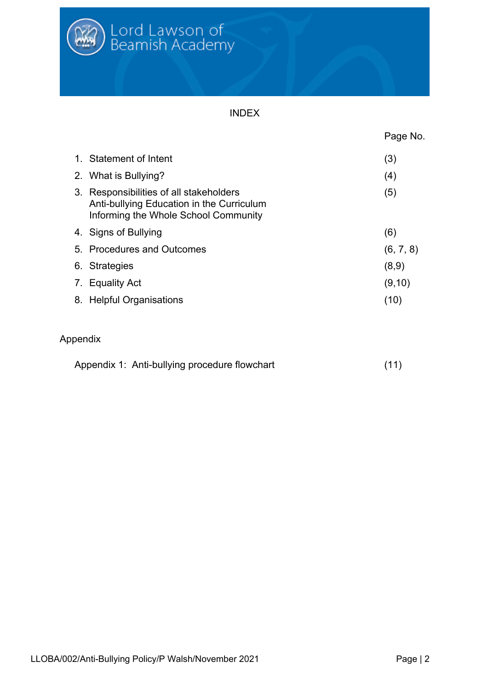

#### INDEX

|                                                                                                                              | Page No.  |
|------------------------------------------------------------------------------------------------------------------------------|-----------|
| 1. Statement of Intent                                                                                                       | (3)       |
| 2. What is Bullying?                                                                                                         | (4)       |
| 3. Responsibilities of all stakeholders<br>Anti-bullying Education in the Curriculum<br>Informing the Whole School Community | (5)       |
| 4. Signs of Bullying                                                                                                         | (6)       |
| 5. Procedures and Outcomes                                                                                                   | (6, 7, 8) |
| 6. Strategies                                                                                                                | (8,9)     |
| 7. Equality Act                                                                                                              | (9, 10)   |
| 8. Helpful Organisations                                                                                                     | (10)      |

### Appendix

| Appendix 1: Anti-bullying procedure flowchart | (11) |  |
|-----------------------------------------------|------|--|
|                                               |      |  |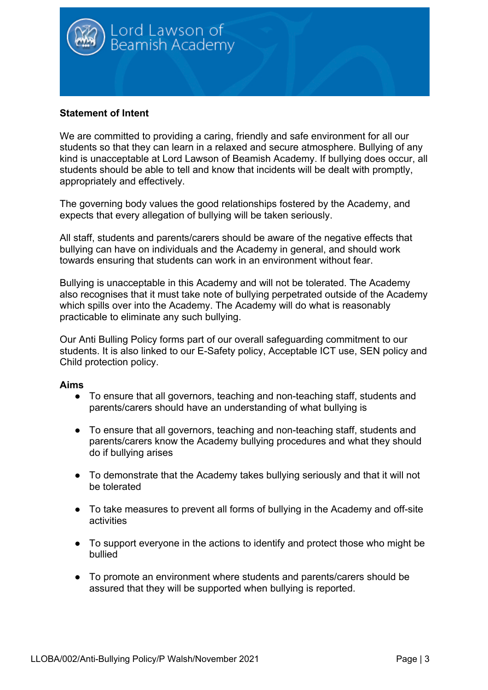

#### **Statement of Intent**

We are committed to providing a caring, friendly and safe environment for all our students so that they can learn in a relaxed and secure atmosphere. Bullying of any kind is unacceptable at Lord Lawson of Beamish Academy. If bullying does occur, all students should be able to tell and know that incidents will be dealt with promptly, appropriately and effectively.

The governing body values the good relationships fostered by the Academy, and expects that every allegation of bullying will be taken seriously.

All staff, students and parents/carers should be aware of the negative effects that bullying can have on individuals and the Academy in general, and should work towards ensuring that students can work in an environment without fear.

Bullying is unacceptable in this Academy and will not be tolerated. The Academy also recognises that it must take note of bullying perpetrated outside of the Academy which spills over into the Academy. The Academy will do what is reasonably practicable to eliminate any such bullying.

Our Anti Bulling Policy forms part of our overall safeguarding commitment to our students. It is also linked to our E-Safety policy, Acceptable ICT use, SEN policy and Child protection policy.

#### **Aims**

- To ensure that all governors, teaching and non-teaching staff, students and parents/carers should have an understanding of what bullying is
- To ensure that all governors, teaching and non-teaching staff, students and parents/carers know the Academy bullying procedures and what they should do if bullying arises
- To demonstrate that the Academy takes bullying seriously and that it will not be tolerated
- To take measures to prevent all forms of bullying in the Academy and off-site activities
- To support everyone in the actions to identify and protect those who might be bullied
- To promote an environment where students and parents/carers should be assured that they will be supported when bullying is reported.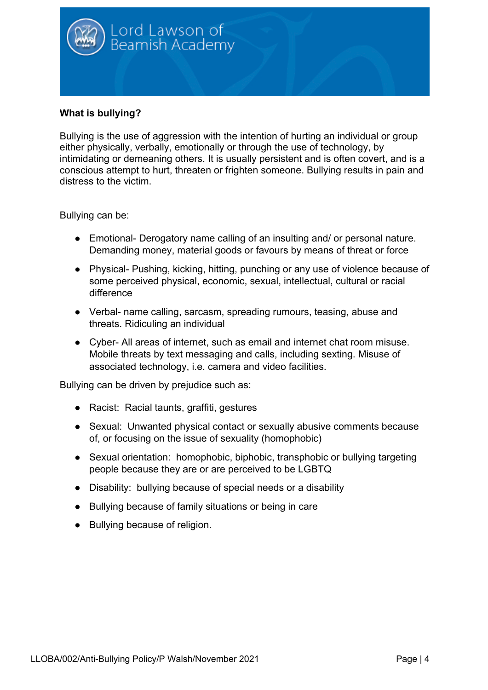

#### **What is bullying?**

Bullying is the use of aggression with the intention of hurting an individual or group either physically, verbally, emotionally or through the use of technology, by intimidating or demeaning others. It is usually persistent and is often covert, and is a conscious attempt to hurt, threaten or frighten someone. Bullying results in pain and distress to the victim.

Bullying can be:

- Emotional- Derogatory name calling of an insulting and/ or personal nature. Demanding money, material goods or favours by means of threat or force
- Physical- Pushing, kicking, hitting, punching or any use of violence because of some perceived physical, economic, sexual, intellectual, cultural or racial difference
- Verbal- name calling, sarcasm, spreading rumours, teasing, abuse and threats. Ridiculing an individual
- Cyber- All areas of internet, such as email and internet chat room misuse. Mobile threats by text messaging and calls, including sexting. Misuse of associated technology, i.e. camera and video facilities.

Bullying can be driven by prejudice such as:

- Racist: Racial taunts, graffiti, gestures
- Sexual: Unwanted physical contact or sexually abusive comments because of, or focusing on the issue of sexuality (homophobic)
- Sexual orientation: homophobic, biphobic, transphobic or bullying targeting people because they are or are perceived to be LGBTQ
- Disability: bullying because of special needs or a disability
- Bullying because of family situations or being in care
- Bullying because of religion.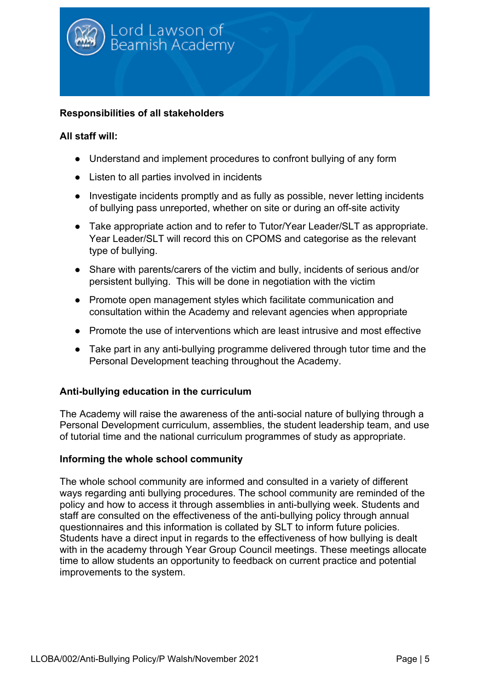

#### **Responsibilities of all stakeholders**

#### **All staff will:**

- Understand and implement procedures to confront bullying of any form
- Listen to all parties involved in incidents
- Investigate incidents promptly and as fully as possible, never letting incidents of bullying pass unreported, whether on site or during an off-site activity
- Take appropriate action and to refer to Tutor/Year Leader/SLT as appropriate. Year Leader/SLT will record this on CPOMS and categorise as the relevant type of bullying.
- Share with parents/carers of the victim and bully, incidents of serious and/or persistent bullying. This will be done in negotiation with the victim
- Promote open management styles which facilitate communication and consultation within the Academy and relevant agencies when appropriate
- Promote the use of interventions which are least intrusive and most effective
- Take part in any anti-bullying programme delivered through tutor time and the Personal Development teaching throughout the Academy.

#### **Anti-bullying education in the curriculum**

The Academy will raise the awareness of the anti-social nature of bullying through a Personal Development curriculum, assemblies, the student leadership team, and use of tutorial time and the national curriculum programmes of study as appropriate.

#### **Informing the whole school community**

The whole school community are informed and consulted in a variety of different ways regarding anti bullying procedures. The school community are reminded of the policy and how to access it through assemblies in anti-bullying week. Students and staff are consulted on the effectiveness of the anti-bullying policy through annual questionnaires and this information is collated by SLT to inform future policies. Students have a direct input in regards to the effectiveness of how bullying is dealt with in the academy through Year Group Council meetings. These meetings allocate time to allow students an opportunity to feedback on current practice and potential improvements to the system.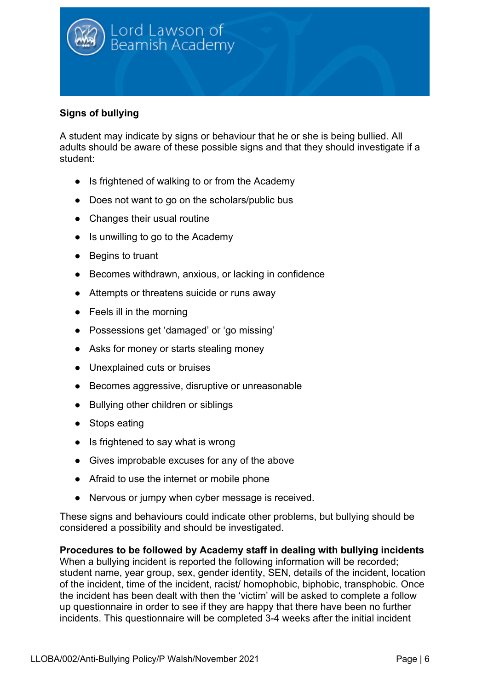

#### **Signs of bullying**

A student may indicate by signs or behaviour that he or she is being bullied. All adults should be aware of these possible signs and that they should investigate if a student:

- Is frightened of walking to or from the Academy
- Does not want to go on the scholars/public bus
- Changes their usual routine
- Is unwilling to go to the Academy
- Begins to truant
- Becomes withdrawn, anxious, or lacking in confidence
- Attempts or threatens suicide or runs away
- Feels ill in the morning
- Possessions get 'damaged' or 'go missing'
- Asks for money or starts stealing money
- Unexplained cuts or bruises
- Becomes aggressive, disruptive or unreasonable
- Bullying other children or siblings
- Stops eating
- Is frightened to say what is wrong
- Gives improbable excuses for any of the above
- Afraid to use the internet or mobile phone
- Nervous or jumpy when cyber message is received.

These signs and behaviours could indicate other problems, but bullying should be considered a possibility and should be investigated.

**Procedures to be followed by Academy staff in dealing with bullying incidents** When a bullying incident is reported the following information will be recorded; student name, year group, sex, gender identity, SEN, details of the incident, location of the incident, time of the incident, racist/ homophobic, biphobic, transphobic. Once the incident has been dealt with then the 'victim' will be asked to complete a follow up questionnaire in order to see if they are happy that there have been no further incidents. This questionnaire will be completed 3-4 weeks after the initial incident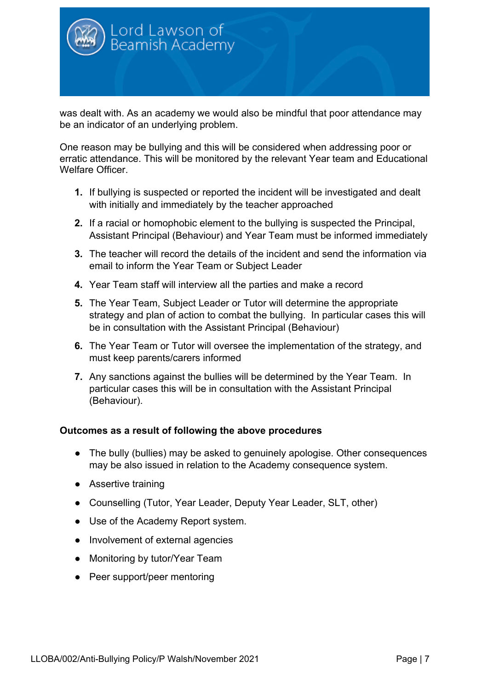

was dealt with. As an academy we would also be mindful that poor attendance may be an indicator of an underlying problem.

One reason may be bullying and this will be considered when addressing poor or erratic attendance. This will be monitored by the relevant Year team and Educational Welfare Officer.

- **1.** If bullying is suspected or reported the incident will be investigated and dealt with initially and immediately by the teacher approached
- **2.** If a racial or homophobic element to the bullying is suspected the Principal, Assistant Principal (Behaviour) and Year Team must be informed immediately
- **3.** The teacher will record the details of the incident and send the information via email to inform the Year Team or Subject Leader
- **4.** Year Team staff will interview all the parties and make a record
- **5.** The Year Team, Subject Leader or Tutor will determine the appropriate strategy and plan of action to combat the bullying. In particular cases this will be in consultation with the Assistant Principal (Behaviour)
- **6.** The Year Team or Tutor will oversee the implementation of the strategy, and must keep parents/carers informed
- **7.** Any sanctions against the bullies will be determined by the Year Team. In particular cases this will be in consultation with the Assistant Principal (Behaviour).

#### **Outcomes as a result of following the above procedures**

- The bully (bullies) may be asked to genuinely apologise. Other consequences may be also issued in relation to the Academy consequence system.
- Assertive training
- Counselling (Tutor, Year Leader, Deputy Year Leader, SLT, other)
- Use of the Academy Report system.
- Involvement of external agencies
- Monitoring by tutor/Year Team
- Peer support/peer mentoring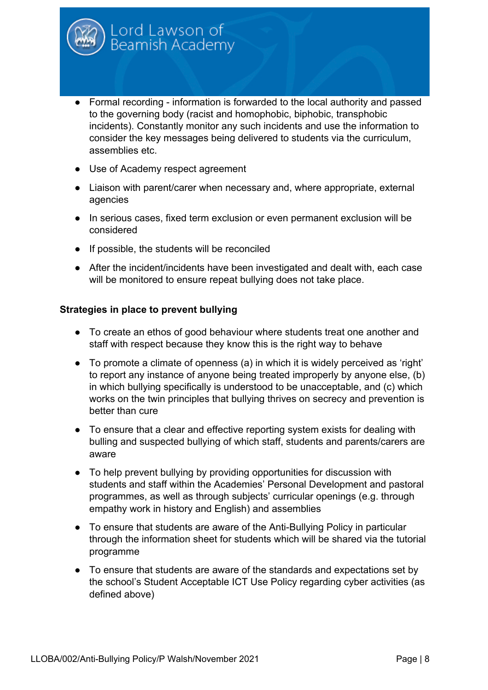

- Formal recording information is forwarded to the local authority and passed to the governing body (racist and homophobic, biphobic, transphobic incidents). Constantly monitor any such incidents and use the information to consider the key messages being delivered to students via the curriculum, assemblies etc.
- Use of Academy respect agreement
- Liaison with parent/carer when necessary and, where appropriate, external agencies
- In serious cases, fixed term exclusion or even permanent exclusion will be considered
- If possible, the students will be reconciled
- After the incident/incidents have been investigated and dealt with, each case will be monitored to ensure repeat bullying does not take place.

#### **Strategies in place to prevent bullying**

- To create an ethos of good behaviour where students treat one another and staff with respect because they know this is the right way to behave
- To promote a climate of openness (a) in which it is widely perceived as 'right' to report any instance of anyone being treated improperly by anyone else, (b) in which bullying specifically is understood to be unacceptable, and (c) which works on the twin principles that bullying thrives on secrecy and prevention is better than cure
- To ensure that a clear and effective reporting system exists for dealing with bulling and suspected bullying of which staff, students and parents/carers are aware
- To help prevent bullying by providing opportunities for discussion with students and staff within the Academies' Personal Development and pastoral programmes, as well as through subjects' curricular openings (e.g. through empathy work in history and English) and assemblies
- To ensure that students are aware of the Anti-Bullying Policy in particular through the information sheet for students which will be shared via the tutorial programme
- To ensure that students are aware of the standards and expectations set by the school's Student Acceptable ICT Use Policy regarding cyber activities (as defined above)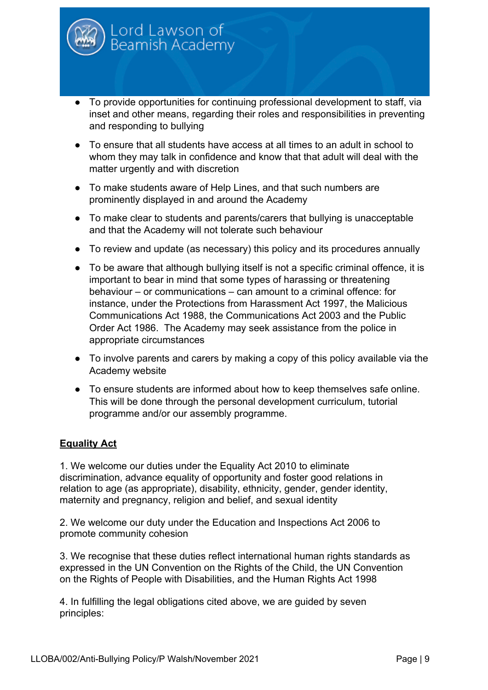

- To provide opportunities for continuing professional development to staff, via inset and other means, regarding their roles and responsibilities in preventing and responding to bullying
- To ensure that all students have access at all times to an adult in school to whom they may talk in confidence and know that that adult will deal with the matter urgently and with discretion
- To make students aware of Help Lines, and that such numbers are prominently displayed in and around the Academy
- To make clear to students and parents/carers that bullying is unacceptable and that the Academy will not tolerate such behaviour
- To review and update (as necessary) this policy and its procedures annually
- To be aware that although bullying itself is not a specific criminal offence, it is important to bear in mind that some types of harassing or threatening behaviour – or communications – can amount to a criminal offence: for instance, under the Protections from Harassment Act 1997, the Malicious Communications Act 1988, the Communications Act 2003 and the Public Order Act 1986. The Academy may seek assistance from the police in appropriate circumstances
- To involve parents and carers by making a copy of this policy available via the Academy website
- To ensure students are informed about how to keep themselves safe online. This will be done through the personal development curriculum, tutorial programme and/or our assembly programme.

#### **Equality Act**

1. We welcome our duties under the Equality Act 2010 to eliminate discrimination, advance equality of opportunity and foster good relations in relation to age (as appropriate), disability, ethnicity, gender, gender identity, maternity and pregnancy, religion and belief, and sexual identity

2. We welcome our duty under the Education and Inspections Act 2006 to promote community cohesion

3. We recognise that these duties reflect international human rights standards as expressed in the UN Convention on the Rights of the Child, the UN Convention on the Rights of People with Disabilities, and the Human Rights Act 1998

4. In fulfilling the legal obligations cited above, we are guided by seven principles: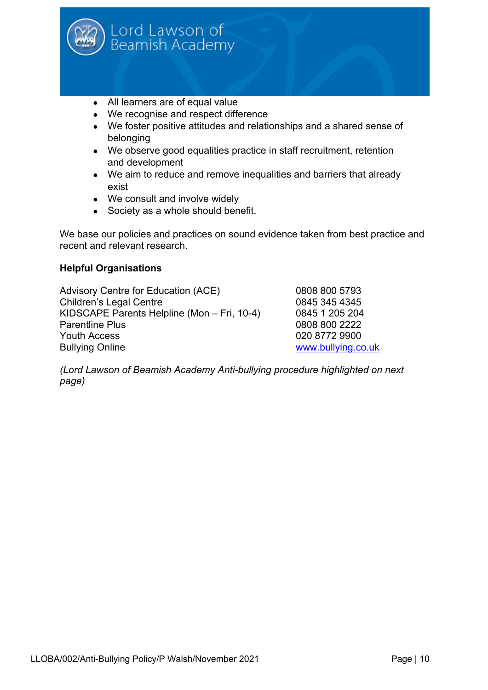

- All learners are of equal value
- We recognise and respect difference
- We foster positive attitudes and relationships and a shared sense of belonging
- We observe good equalities practice in staff recruitment, retention and development
- We aim to reduce and remove inequalities and barriers that already exist
- We consult and involve widely
- Society as a whole should benefit.

We base our policies and practices on sound evidence taken from best practice and recent and relevant research.

#### **Helpful Organisations**

Advisory Centre for Education (ACE) 0808 800 5793 Children's Legal Centre 0845 345 4345 KIDSCAPE Parents Helpline (Mon – Fri, 10-4) 0845 1 205 204 Parentline Plus 2222 Youth Access 020 8772 9900 Bullying Online **WARD CONSERVING CONSERVING** BULLYING WWW.bullying.co.uk

*(Lord Lawson of Beamish Academy Anti-bullying procedure highlighted on next page)*